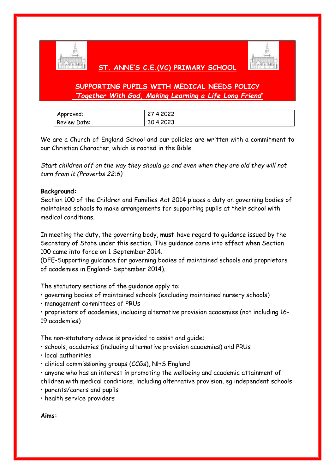

# **ST. ANNE'S C.E.(VC) PRIMARY SCHOOL**



# **SUPPORTING PUPILS WITH MEDICAL NEEDS POLICY** *'Together With God, Making Learning a Life Long Friend'*

| Approved:    | 27.4.2022 |
|--------------|-----------|
| Review Date: | 30.4.2023 |

We are a Church of England School and our policies are written with a commitment to our Christian Character, which is rooted in the Bible.

*Start children off on the way they should go and even when they are old they will not turn from it (Proverbs 22:6)*

### **Background:**

Section 100 of the Children and Families Act 2014 places a duty on governing bodies of maintained schools to make arrangements for supporting pupils at their school with medical conditions.

In meeting the duty, the governing body, **must** have regard to guidance issued by the Secretary of State under this section. This guidance came into effect when Section 100 came into force on 1 September 2014.

(DFE-Supporting guidance for governing bodies of maintained schools and proprietors of academies in England- September 2014).

The statutory sections of the guidance apply to:

• governing bodies of maintained schools (excluding maintained nursery schools)

• management committees of PRUs

• proprietors of academies, including alternative provision academies (not including 16- 19 academies)

The non-statutory advice is provided to assist and guide:

- schools, academies (including alternative provision academies) and PRUs
- local authorities
- clinical commissioning groups (CCGs), NHS England

• anyone who has an interest in promoting the wellbeing and academic attainment of children with medical conditions, including alternative provision, eg independent schools

• parents/carers and pupils

• health service providers

**Aims:**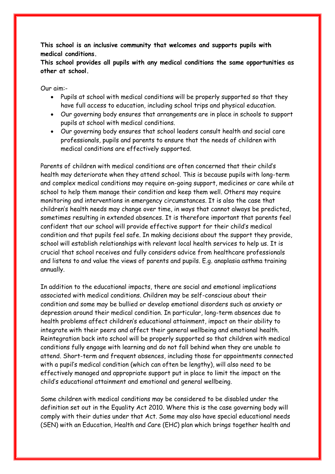**This school is an inclusive community that welcomes and supports pupils with medical conditions.**

**This school provides all pupils with any medical conditions the same opportunities as other at school.**

Our aim:-

- Pupils at school with medical conditions will be properly supported so that they have full access to education, including school trips and physical education.
- Our governing body ensures that arrangements are in place in schools to support pupils at school with medical conditions.
- Our governing body ensures that school leaders consult health and social care professionals, pupils and parents to ensure that the needs of children with medical conditions are effectively supported.

Parents of children with medical conditions are often concerned that their child's health may deteriorate when they attend school. This is because pupils with long-term and complex medical conditions may require on-going support, medicines or care while at school to help them manage their condition and keep them well. Others may require monitoring and interventions in emergency circumstances. It is also the case that children's health needs may change over time, in ways that cannot always be predicted, sometimes resulting in extended absences. It is therefore important that parents feel confident that our school will provide effective support for their child's medical condition and that pupils feel safe. In making decisions about the support they provide, school will establish relationships with relevant local health services to help us. It is crucial that school receives and fully considers advice from healthcare professionals and listens to and value the views of parents and pupils. E.g. anaplasia asthma training annually.

In addition to the educational impacts, there are social and emotional implications associated with medical conditions. Children may be self-conscious about their condition and some may be bullied or develop emotional disorders such as anxiety or depression around their medical condition. In particular, long-term absences due to health problems affect children's educational attainment, impact on their ability to integrate with their peers and affect their general wellbeing and emotional health. Reintegration back into school will be properly supported so that children with medical conditions fully engage with learning and do not fall behind when they are unable to attend. Short-term and frequent absences, including those for appointments connected with a pupil's medical condition (which can often be lengthy), will also need to be effectively managed and appropriate support put in place to limit the impact on the child's educational attainment and emotional and general wellbeing.

Some children with medical conditions may be considered to be disabled under the definition set out in the Equality Act 2010. Where this is the case governing body will comply with their duties under that Act. Some may also have special educational needs (SEN) with an Education, Health and Care (EHC) plan which brings together health and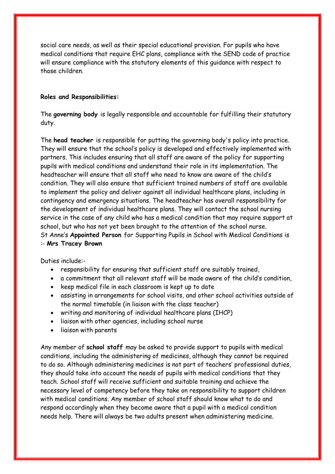social care needs, as well as their special educational provision. For pupils who have medical conditions that require EHC plans, compliance with the SEND code of practice will ensure compliance with the statutory elements of this guidance with respect to those children.

#### **Roles and Responsibilities:**

The **governing body** is legally responsible and accountable for fulfilling their statutory duty.

The **head teacher** is responsible for putting the governing body's policy into practice. They will ensure that the school's policy is developed and effectively implemented with partners. This includes ensuring that all staff are aware of the policy for supporting pupils with medical conditions and understand their role in its implementation. The headteacher will ensure that all staff who need to know are aware of the child's condition. They will also ensure that sufficient trained numbers of staff are available to implement the policy and deliver against all individual healthcare plans, including in contingency and emergency situations. The headteacher has overall responsibility for the development of individual healthcare plans. They will contact the school nursing service in the case of any child who has a medical condition that may require support at school, but who has not yet been brought to the attention of the school nurse. St Anne's **Appointed Person** for Supporting Pupils in School with Medical Conditions is :- **Mrs Tracey Brown**

Duties include:-

- responsibility for ensuring that sufficient staff are suitably trained,
- a commitment that all relevant staff will be made aware of the child's condition,
- keep medical file in each classroom is kept up to date
- assisting in arrangements for school visits, and other school activities outside of the normal timetable (in liaison with the class teacher)
- writing and monitoring of individual healthcare plans (IHCP)
- liaison with other agencies, including school nurse
- liaison with parents

Any member of **school staff** may be asked to provide support to pupils with medical conditions, including the administering of medicines, although they cannot be required to do so. Although administering medicines is not part of teachers' professional duties, they should take into account the needs of pupils with medical conditions that they teach. School staff will receive sufficient and suitable training and achieve the necessary level of competency before they take on responsibility to support children with medical conditions. Any member of school staff should know what to do and respond accordingly when they become aware that a pupil with a medical condition needs help. There will always be two adults present when administering medicine.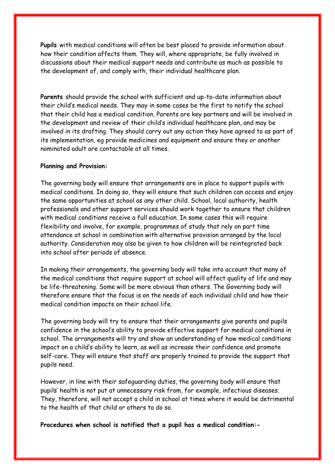**Pupils** with medical conditions will often be best placed to provide information about how their condition affects them. They will, where appropriate, be fully involved in discussions about their medical support needs and contribute as much as possible to the development of, and comply with, their individual healthcare plan.

**Parents** should provide the school with sufficient and up-to-date information about their child's medical needs. They may in some cases be the first to notify the school that their child has a medical condition. Parents are key partners and will be involved in the development and review of their child's individual healthcare plan, and may be involved in its drafting. They should carry out any action they have agreed to as part of its implementation, eg provide medicines and equipment and ensure they or another nominated adult are contactable at all times.

#### **Planning and Provision:**

The governing body will ensure that arrangements are in place to support pupils with medical conditions. In doing so, they will ensure that such children can access and enjoy the same opportunities at school as any other child. School, local authority, health professionals and other support services should work together to ensure that children with medical conditions receive a full education. In some cases this will require flexibility and involve, for example, programmes of study that rely on part time attendance at school in combination with alternative provision arranged by the local authority. Consideration may also be given to how children will be reintegrated back into school after periods of absence.

In making their arrangements, the governing body will take into account that many of the medical conditions that require support at school will affect quality of life and may be life-threatening. Some will be more obvious than others. The Governing body will therefore ensure that the focus is on the needs of each individual child and how their medical condition impacts on their school life.

The governing body will try to ensure that their arrangements give parents and pupils confidence in the school's ability to provide effective support for medical conditions in school. The arrangements will try and show an understanding of how medical conditions impact on a child's ability to learn, as well as increase their confidence and promote self-care. They will ensure that staff are properly trained to provide the support that pupils need.

However, in line with their safeguarding duties, the governing body will ensure that pupils' health is not put at unnecessary risk from, for example, infectious diseases. They, therefore, will not accept a child in school at times where it would be detrimental to the health of that child or others to do so.

**Procedures when school is notified that a pupil has a medical condition:-**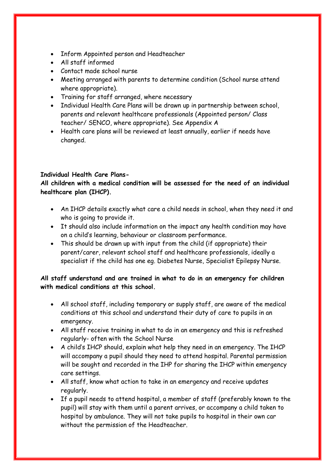- Inform Appointed person and Headteacher
- All staff informed
- Contact made school nurse
- Meeting arranged with parents to determine condition (School nurse attend where appropriate).
- Training for staff arranged, where necessary
- Individual Health Care Plans will be drawn up in partnership between school, parents and relevant healthcare professionals (Appointed person/ Class teacher/ SENCO, where appropriate). See Appendix A
- Health care plans will be reviewed at least annually, earlier if needs have changed.

## **Individual Health Care Plans-**

**All children with a medical condition will be assessed for the need of an individual healthcare plan (IHCP).**

- An IHCP details exactly what care a child needs in school, when they need it and who is going to provide it.
- It should also include information on the impact any health condition may have on a child's learning, behaviour or classroom performance.
- This should be drawn up with input from the child (if appropriate) their parent/carer, relevant school staff and healthcare professionals, ideally a specialist if the child has one eg. Diabetes Nurse, Specialist Epilepsy Nurse.

## **All staff understand and are trained in what to do in an emergency for children with medical conditions at this school.**

- All school staff, including temporary or supply staff, are aware of the medical conditions at this school and understand their duty of care to pupils in an emergency.
- All staff receive training in what to do in an emergency and this is refreshed regularly- often with the School Nurse
- A child's IHCP should, explain what help they need in an emergency. The IHCP will accompany a pupil should they need to attend hospital. Parental permission will be sought and recorded in the IHP for sharing the IHCP within emergency care settings.
- All staff, know what action to take in an emergency and receive updates regularly.
- If a pupil needs to attend hospital, a member of staff (preferably known to the pupil) will stay with them until a parent arrives, or accompany a child taken to hospital by ambulance. They will not take pupils to hospital in their own car without the permission of the Headteacher.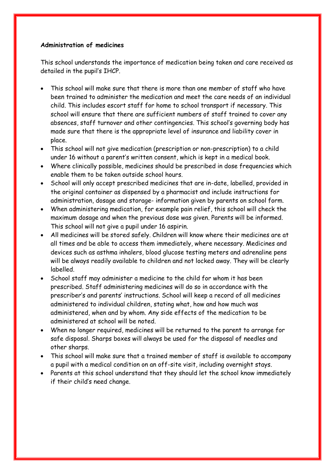#### **Administration of medicines**

This school understands the importance of medication being taken and care received as detailed in the pupil's IHCP.

- This school will make sure that there is more than one member of staff who have been trained to administer the medication and meet the care needs of an individual child. This includes escort staff for home to school transport if necessary. This school will ensure that there are sufficient numbers of staff trained to cover any absences, staff turnover and other contingencies. This school's governing body has made sure that there is the appropriate level of insurance and liability cover in place.
- This school will not give medication (prescription or non-prescription) to a child under 16 without a parent's written consent, which is kept in a medical book.
- Where clinically possible, medicines should be prescribed in dose frequencies which enable them to be taken outside school hours.
- School will only accept prescribed medicines that are in-date, labelled, provided in the original container as dispensed by a pharmacist and include instructions for administration, dosage and storage- information given by parents on school form.
- When administering medication, for example pain relief, this school will check the maximum dosage and when the previous dose was given. Parents will be informed. This school will not give a pupil under 16 aspirin.
- All medicines will be stored safely. Children will know where their medicines are at all times and be able to access them immediately, where necessary. Medicines and devices such as asthma inhalers, blood glucose testing meters and adrenaline pens will be always readily available to children and not locked away. They will be clearly labelled.
- School staff may administer a medicine to the child for whom it has been prescribed. Staff administering medicines will do so in accordance with the prescriber's and parents' instructions. School will keep a record of all medicines administered to individual children, stating what, how and how much was administered, when and by whom. Any side effects of the medication to be administered at school will be noted.
- When no longer required, medicines will be returned to the parent to arrange for safe disposal. Sharps boxes will always be used for the disposal of needles and other sharps.
- This school will make sure that a trained member of staff is available to accompany a pupil with a medical condition on an off-site visit, including overnight stays.
- Parents at this school understand that they should let the school know immediately if their child's need change.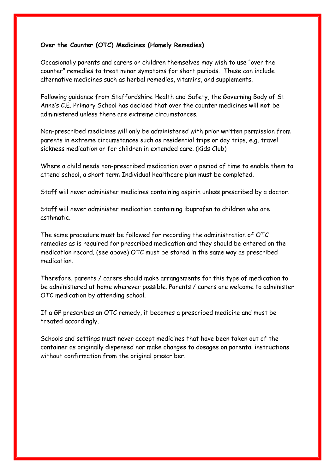#### **Over the Counter (OTC) Medicines (Homely Remedies)**

Occasionally parents and carers or children themselves may wish to use "over the counter" remedies to treat minor symptoms for short periods. These can include alternative medicines such as herbal remedies, vitamins, and supplements.

Following guidance from Staffordshire Health and Safety, the Governing Body of St Anne's C.E. Primary School has decided that over the counter medicines will **not** be administered unless there are extreme circumstances.

Non-prescribed medicines will only be administered with prior written permission from parents in extreme circumstances such as residential trips or day trips, e.g. travel sickness medication or for children in extended care. (Kids Club)

Where a child needs non-prescribed medication over a period of time to enable them to attend school, a short term Individual healthcare plan must be completed.

Staff will never administer medicines containing aspirin unless prescribed by a doctor.

Staff will never administer medication containing ibuprofen to children who are asthmatic.

The same procedure must be followed for recording the administration of OTC remedies as is required for prescribed medication and they should be entered on the medication record. (see above) OTC must be stored in the same way as prescribed medication.

Therefore, parents / carers should make arrangements for this type of medication to be administered at home wherever possible. Parents / carers are welcome to administer OTC medication by attending school.

If a GP prescribes an OTC remedy, it becomes a prescribed medicine and must be treated accordingly.

Schools and settings must never accept medicines that have been taken out of the container as originally dispensed nor make changes to dosages on parental instructions without confirmation from the original prescriber.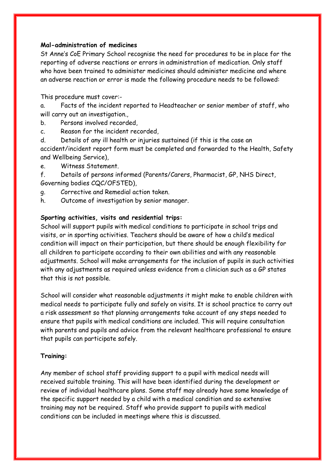#### **Mal-administration of medicines**

St Anne's CoE Primary School recognise the need for procedures to be in place for the reporting of adverse reactions or errors in administration of medication. Only staff who have been trained to administer medicines should administer medicine and where an adverse reaction or error is made the following procedure needs to be followed:

This procedure must cover:-

a. Facts of the incident reported to Headteacher or senior member of staff, who will carry out an investigation.,

- b. Persons involved recorded,
- c. Reason for the incident recorded,

d. Details of any ill health or injuries sustained (if this is the case an accident/incident report form must be completed and forwarded to the Health, Safety and Wellbeing Service),

e. Witness Statement.

f. Details of persons informed (Parents/Carers, Pharmacist, GP, NHS Direct, Governing bodies CQC/OFSTED),

- g. Corrective and Remedial action taken.
- h. Outcome of investigation by senior manager.

#### **Sporting activities, visits and residential trips:**

School will support pupils with medical conditions to participate in school trips and visits, or in sporting activities. Teachers should be aware of how a child's medical condition will impact on their participation, but there should be enough flexibility for all children to participate according to their own abilities and with any reasonable adjustments. School will make arrangements for the inclusion of pupils in such activities with any adjustments as required unless evidence from a clinician such as a GP states that this is not possible.

School will consider what reasonable adjustments it might make to enable children with medical needs to participate fully and safely on visits. It is school practice to carry out a risk assessment so that planning arrangements take account of any steps needed to ensure that pupils with medical conditions are included. This will require consultation with parents and pupils and advice from the relevant healthcare professional to ensure that pupils can participate safely.

#### **Training:**

Any member of school staff providing support to a pupil with medical needs will received suitable training. This will have been identified during the development or review of individual healthcare plans. Some staff may already have some knowledge of the specific support needed by a child with a medical condition and so extensive training may not be required. Staff who provide support to pupils with medical conditions can be included in meetings where this is discussed.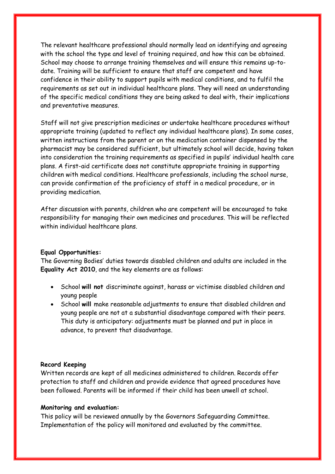The relevant healthcare professional should normally lead on identifying and agreeing with the school the type and level of training required, and how this can be obtained. School may choose to arrange training themselves and will ensure this remains up-todate. Training will be sufficient to ensure that staff are competent and have confidence in their ability to support pupils with medical conditions, and to fulfil the requirements as set out in individual healthcare plans. They will need an understanding of the specific medical conditions they are being asked to deal with, their implications and preventative measures.

Staff will not give prescription medicines or undertake healthcare procedures without appropriate training (updated to reflect any individual healthcare plans). In some cases, written instructions from the parent or on the medication container dispensed by the pharmacist may be considered sufficient, but ultimately school will decide, having taken into consideration the training requirements as specified in pupils' individual health care plans. A first-aid certificate does not constitute appropriate training in supporting children with medical conditions. Healthcare professionals, including the school nurse, can provide confirmation of the proficiency of staff in a medical procedure, or in providing medication.

After discussion with parents, children who are competent will be encouraged to take responsibility for managing their own medicines and procedures. This will be reflected within individual healthcare plans.

#### **Equal Opportunities:**

The Governing Bodies' duties towards disabled children and adults are included in the **Equality Act 2010**, and the key elements are as follows:

- School **will not** discriminate against, harass or victimise disabled children and young people
- School **will** make reasonable adjustments to ensure that disabled children and young people are not at a substantial disadvantage compared with their peers. This duty is anticipatory: adjustments must be planned and put in place in advance, to prevent that disadvantage.

#### **Record Keeping**

Written records are kept of all medicines administered to children. Records offer protection to staff and children and provide evidence that agreed procedures have been followed. Parents will be informed if their child has been unwell at school.

#### **Monitoring and evaluation:**

This policy will be reviewed annually by the Governors Safeguarding Committee. Implementation of the policy will monitored and evaluated by the committee.